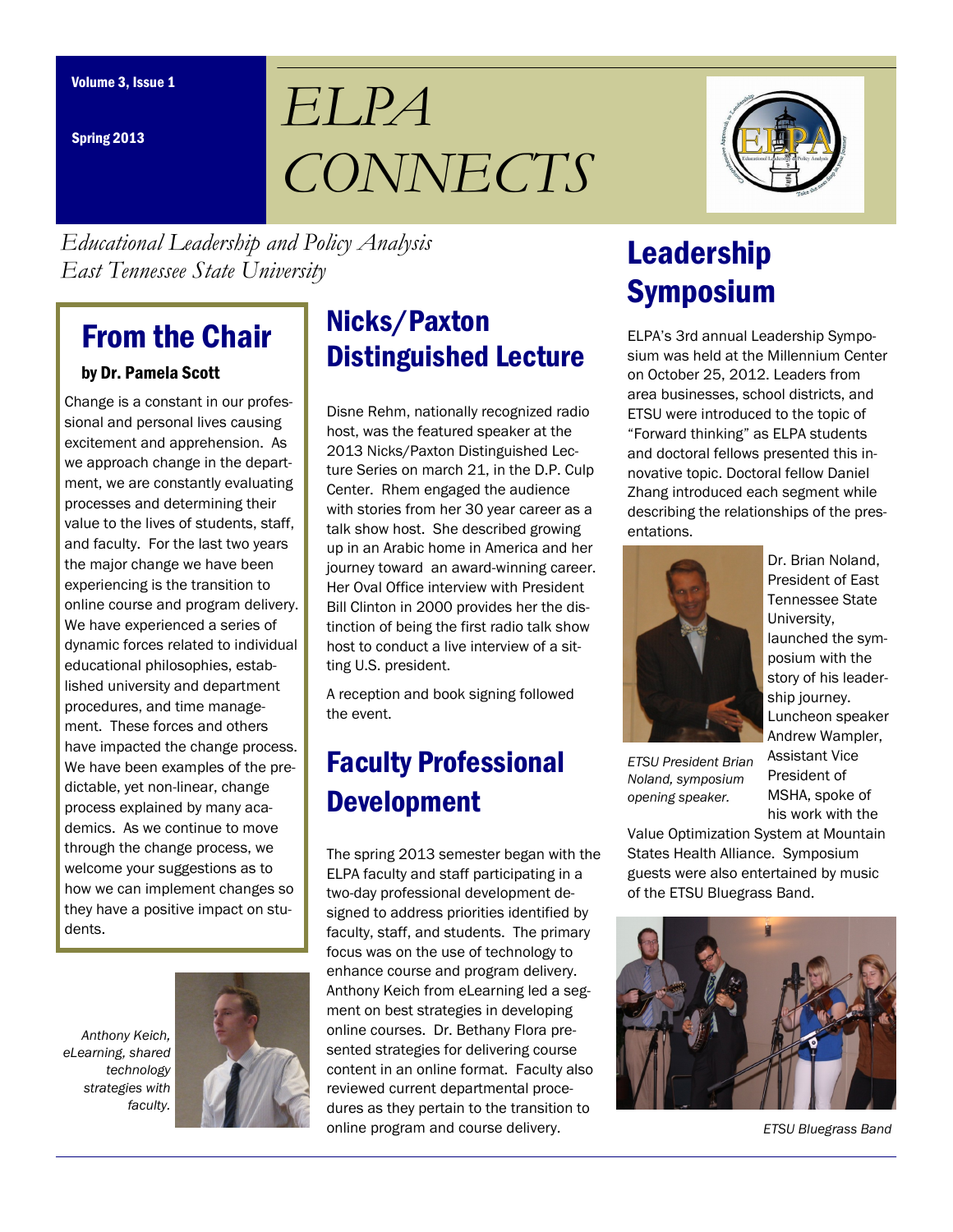Spring 2013

# *ELPA CONNECTS*



*Educational Leadership and Policy Analysis East Tennessee State University*

# From the Chair

#### by Dr. Pamela Scott

Change is a constant in our professional and personal lives causing excitement and apprehension. As we approach change in the department, we are constantly evaluating processes and determining their value to the lives of students, staff, and faculty. For the last two years the major change we have been experiencing is the transition to online course and program delivery. We have experienced a series of dynamic forces related to individual educational philosophies, established university and department procedures, and time management. These forces and others have impacted the change process. We have been examples of the predictable, yet non-linear, change process explained by many academics. As we continue to move through the change process, we welcome your suggestions as to how we can implement changes so they have a positive impact on students.

*Anthony Keich, eLearning, shared technology strategies with faculty.*



# Nicks/Paxton Distinguished Lecture

Disne Rehm, nationally recognized radio host, was the featured speaker at the 2013 Nicks/Paxton Distinguished Lecture Series on march 21, in the D.P. Culp Center. Rhem engaged the audience with stories from her 30 year career as a talk show host. She described growing up in an Arabic home in America and her journey toward an award-winning career. Her Oval Office interview with President Bill Clinton in 2000 provides her the distinction of being the first radio talk show host to conduct a live interview of a sitting U.S. president.

A reception and book signing followed the event.

# Faculty Professional Development

The spring 2013 semester began with the ELPA faculty and staff participating in a two-day professional development designed to address priorities identified by faculty, staff, and students. The primary focus was on the use of technology to enhance course and program delivery. Anthony Keich from eLearning led a segment on best strategies in developing online courses. Dr. Bethany Flora presented strategies for delivering course content in an online format. Faculty also reviewed current departmental procedures as they pertain to the transition to online program and course delivery.

# Leadership Symposium

ELPA's 3rd annual Leadership Symposium was held at the Millennium Center on October 25, 2012. Leaders from area businesses, school districts, and ETSU were introduced to the topic of "Forward thinking" as ELPA students and doctoral fellows presented this innovative topic. Doctoral fellow Daniel Zhang introduced each segment while describing the relationships of the presentations.



President of East Tennessee State University, launched the symposium with the story of his leadership journey. Luncheon speaker Andrew Wampler, Assistant Vice President of MSHA, spoke of his work with the

*ETSU President Brian Noland, symposium opening speaker.*

Value Optimization System at Mountain States Health Alliance. Symposium guests were also entertained by music of the ETSU Bluegrass Band.



*ETSU Bluegrass Band*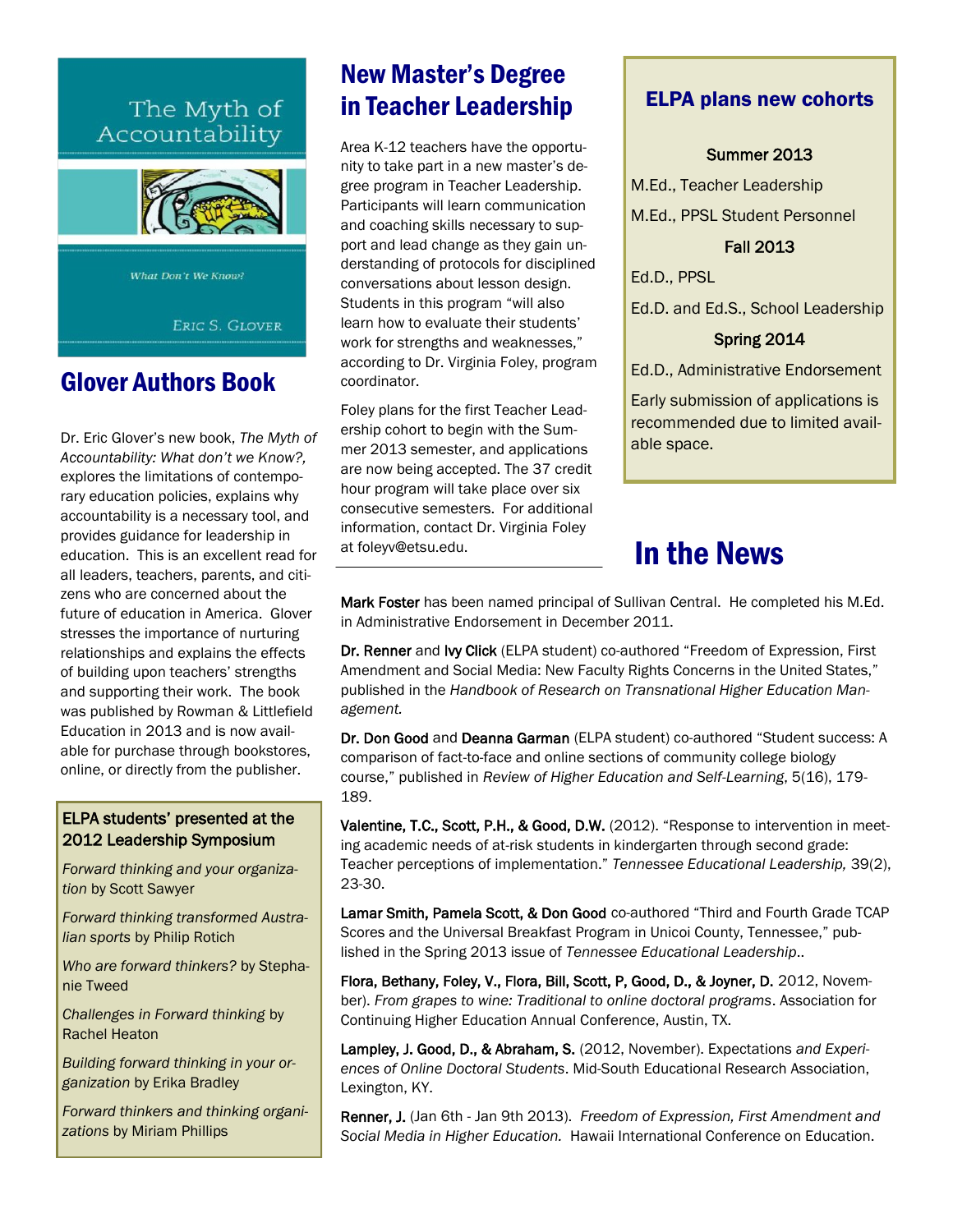### The Myth of Accountability



What Don't We Know?

ERIC S. GLOVER

### Glover Authors Book

Dr. Eric Glover's new book, *The Myth of Accountability: What don't we Know?,*  explores the limitations of contemporary education policies, explains why accountability is a necessary tool, and provides guidance for leadership in education. This is an excellent read for all leaders, teachers, parents, and citizens who are concerned about the future of education in America. Glover stresses the importance of nurturing relationships and explains the effects of building upon teachers' strengths and supporting their work. The book was published by Rowman & Littlefield Education in 2013 and is now available for purchase through bookstores, online, or directly from the publisher.

#### ELPA students' presented at the 2012 Leadership Symposium

*Forward thinking and your organization* by Scott Sawyer

*Forward thinking transformed Australian sports* by Philip Rotich

*Who are forward thinkers?* by Stephanie Tweed

*Challenges in Forward thinking* by Rachel Heaton

*Building forward thinking in your organization* by Erika Bradley

*Forward thinkers and thinking organizations* by Miriam Phillips

### New Master's Degree in Teacher Leadership

Area K-12 teachers have the opportunity to take part in a new master's degree program in Teacher Leadership. Participants will learn communication and coaching skills necessary to support and lead change as they gain understanding of protocols for disciplined conversations about lesson design. Students in this program "will also learn how to evaluate their students' work for strengths and weaknesses," according to Dr. Virginia Foley, program coordinator.

Foley plans for the first Teacher Leadership cohort to begin with the Summer 2013 semester, and applications are now being accepted. The 37 credit hour program will take place over six consecutive semesters. For additional information, contact Dr. Virginia Foley at foleyv@etsu.edu.

#### ELPA plans new cohorts

#### Summer 2013

M.Ed., Teacher Leadership M.Ed., PPSL Student Personnel

Fall 2013

Ed.D., PPSL

Ed.D. and Ed.S., School Leadership

#### Spring 2014

Ed.D., Administrative Endorsement

Early submission of applications is recommended due to limited available space.

## In the News

Mark Foster has been named principal of Sullivan Central. He completed his M.Ed. in Administrative Endorsement in December 2011.

Dr. Renner and Ivy Click (ELPA student) co-authored "Freedom of Expression, First Amendment and Social Media: New Faculty Rights Concerns in the United States," published in the *Handbook of Research on Transnational Higher Education Management.* 

Dr. Don Good and Deanna Garman (ELPA student) co-authored "Student success: A comparison of fact-to-face and online sections of community college biology course," published in *Review of Higher Education and Self-Learning*, 5(16), 179- 189.

Valentine, T.C., Scott, P.H., & Good, D.W. (2012). "Response to intervention in meeting academic needs of at-risk students in kindergarten through second grade: Teacher perceptions of implementation." *Tennessee Educational Leadership,* 39(2), 23-30.

Lamar Smith, Pamela Scott, & Don Good co-authored "Third and Fourth Grade TCAP Scores and the Universal Breakfast Program in Unicoi County, Tennessee," published in the Spring 2013 issue of *Tennessee Educational Leadership*..

Flora, Bethany, Foley, V., Flora, Bill, Scott, P, Good, D., & Joyner, D. 2012, November). *From grapes to wine: Traditional to online doctoral programs*. Association for Continuing Higher Education Annual Conference, Austin, TX.

Lampley, J. Good, D., & Abraham, S. (2012, November). Expectations *and Experiences of Online Doctoral Students*. Mid-South Educational Research Association, Lexington, KY.

Renner, J. (Jan 6th - Jan 9th 2013). *Freedom of Expression, First Amendment and Social Media in Higher Education.* Hawaii International Conference on Education.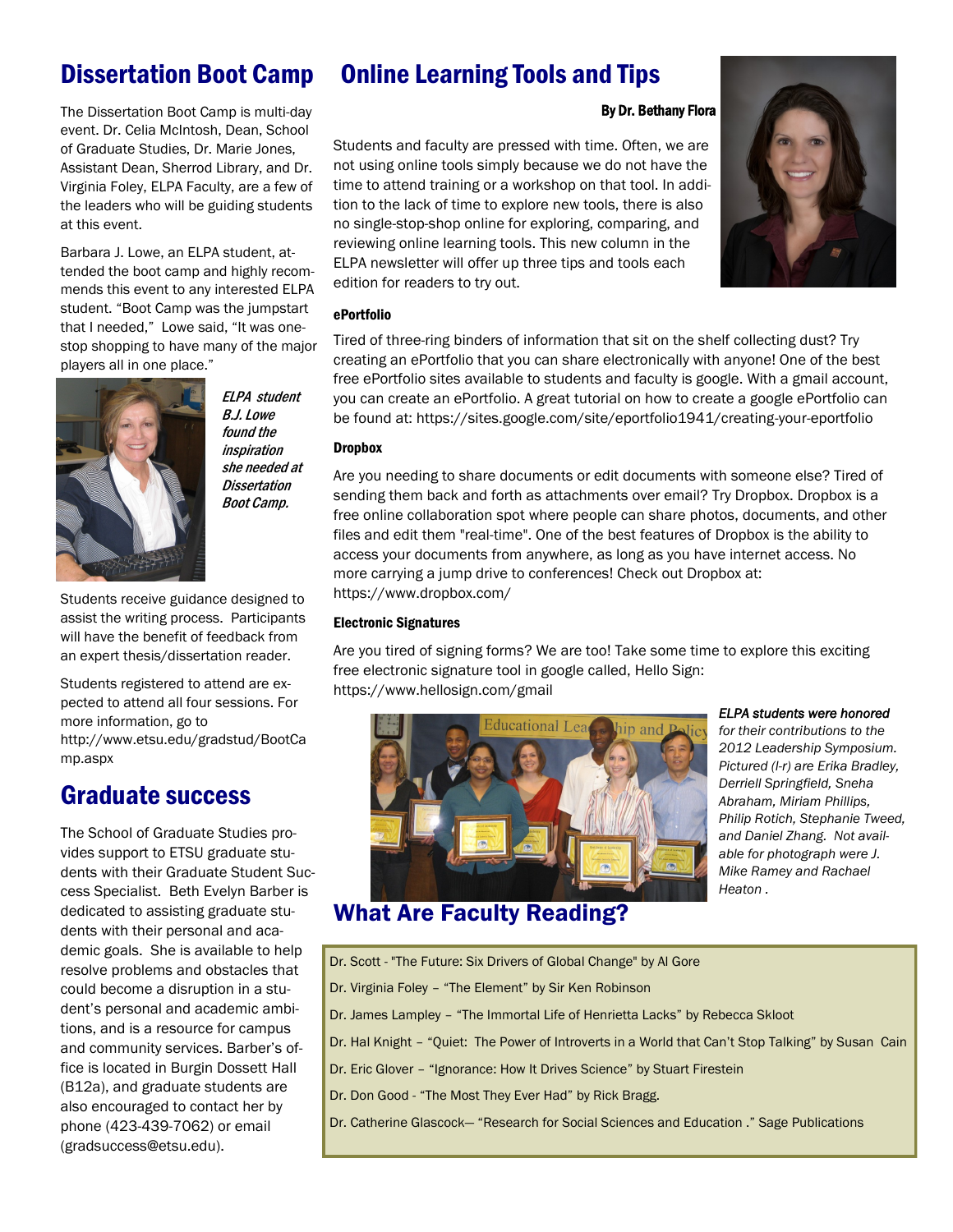### Dissertation Boot Camp

The Dissertation Boot Camp is multi-day event. Dr. Celia McIntosh, Dean, School of Graduate Studies, Dr. Marie Jones, Assistant Dean, Sherrod Library, and Dr. Virginia Foley, ELPA Faculty, are a few of the leaders who will be guiding students at this event.

Barbara J. Lowe, an ELPA student, attended the boot camp and highly recommends this event to any interested ELPA student. "Boot Camp was the jumpstart that I needed," Lowe said, "It was onestop shopping to have many of the major players all in one place."



ELPA student B.J. Lowe found the inspiration she needed at **Dissertation** Boot Camp.

Students receive guidance designed to assist the writing process. Participants will have the benefit of feedback from an expert thesis/dissertation reader.

Students registered to attend are expected to attend all four sessions. For more information, go to [http://www.etsu.edu/gradstud/BootCa](http://www.etsu.edu/gradstud/BootCamp.aspx) [mp.aspx](http://www.etsu.edu/gradstud/BootCamp.aspx)

### Graduate success

The School of Graduate Studies provides support to ETSU graduate students with their Graduate Student Success Specialist. Beth Evelyn Barber is dedicated to assisting graduate students with their personal and academic goals. She is available to help resolve problems and obstacles that could become a disruption in a student's personal and academic ambitions, and is a resource for campus and community services. Barber's office is located in Burgin Dossett Hall (B12a), and graduate students are also encouraged to contact her by phone (423-439-7062) or email ([gradsuccess@etsu.edu\).](mailto:gradsuccess@etsu.edu)

### Online Learning Tools and Tips

#### By Dr. Bethany Flora

Students and faculty are pressed with time. Often, we are not using online tools simply because we do not have the time to attend training or a workshop on that tool. In addition to the lack of time to explore new tools, there is also no single-stop-shop online for exploring, comparing, and reviewing online learning tools. This new column in the ELPA newsletter will offer up three tips and tools each edition for readers to try out.

#### ePortfolio

Tired of three-ring binders of information that sit on the shelf collecting dust? Try creating an ePortfolio that you can share electronically with anyone! One of the best free ePortfolio sites available to students and faculty is google. With a gmail account, you can create an ePortfolio. A great tutorial on how to create a google ePortfolio can be found at: [https://sites.google.com/site/eportfolio1941/creating-your-eportfolio](https://webmail.etsu.edu/owa/redir.aspx?C=f17e9a53ab1f401bb8f6dabf44487f7d&URL=https%3a%2f%2fsites.google.com%2fsite%2feportfolio1941%2fcreating-your-eportfolio)

#### Dropbox

Are you needing to share documents or edit documents with someone else? Tired of sending them back and forth as attachments over email? Try Dropbox. Dropbox is a free online collaboration spot where people can share photos, documents, and other files and edit them "real-time". One of the best features of Dropbox is the ability to access your documents from anywhere, as long as you have internet access. No more carrying a jump drive to conferences! Check out Dropbox at: [https://www.dropbox.com/](https://webmail.etsu.edu/owa/redir.aspx?C=f17e9a53ab1f401bb8f6dabf44487f7d&URL=https%3a%2f%2fwww.dropbox.com%2f)

#### Electronic Signatures

Are you tired of signing forms? We are too! Take some time to explore this exciting free electronic signature tool in google called, Hello Sign: [https://www.hellosign.com/gmail](https://webmail.etsu.edu/owa/redir.aspx?C=f17e9a53ab1f401bb8f6dabf44487f7d&URL=https%3a%2f%2fwww.hellosign.com%2fgmail)



#### *ELPA students were honored*

*for their contributions to the 2012 Leadership Symposium. Pictured (l-r) are Erika Bradley, Derriell Springfield, Sneha Abraham, Miriam Phillips, Philip Rotich, Stephanie Tweed, and Daniel Zhang. Not available for photograph were J. Mike Ramey and Rachael Heaton .*

### What Are Faculty Reading?

- Dr. Scott "The Future: Six Drivers of Global Change" by Al Gore
- Dr. Virginia Foley "The Element" by Sir Ken Robinson
- Dr. James Lampley "The Immortal Life of Henrietta Lacks" by Rebecca Skloot
- Dr. Hal Knight "Quiet: The Power of Introverts in a World that Can't Stop Talking" by Susan Cain
- Dr. Eric Glover "Ignorance: How It Drives Science" by Stuart Firestein
- Dr. Don Good "The Most They Ever Had" by Rick Bragg.
- Dr. Catherine Glascock— "Research for Social Sciences and Education ." Sage Publications